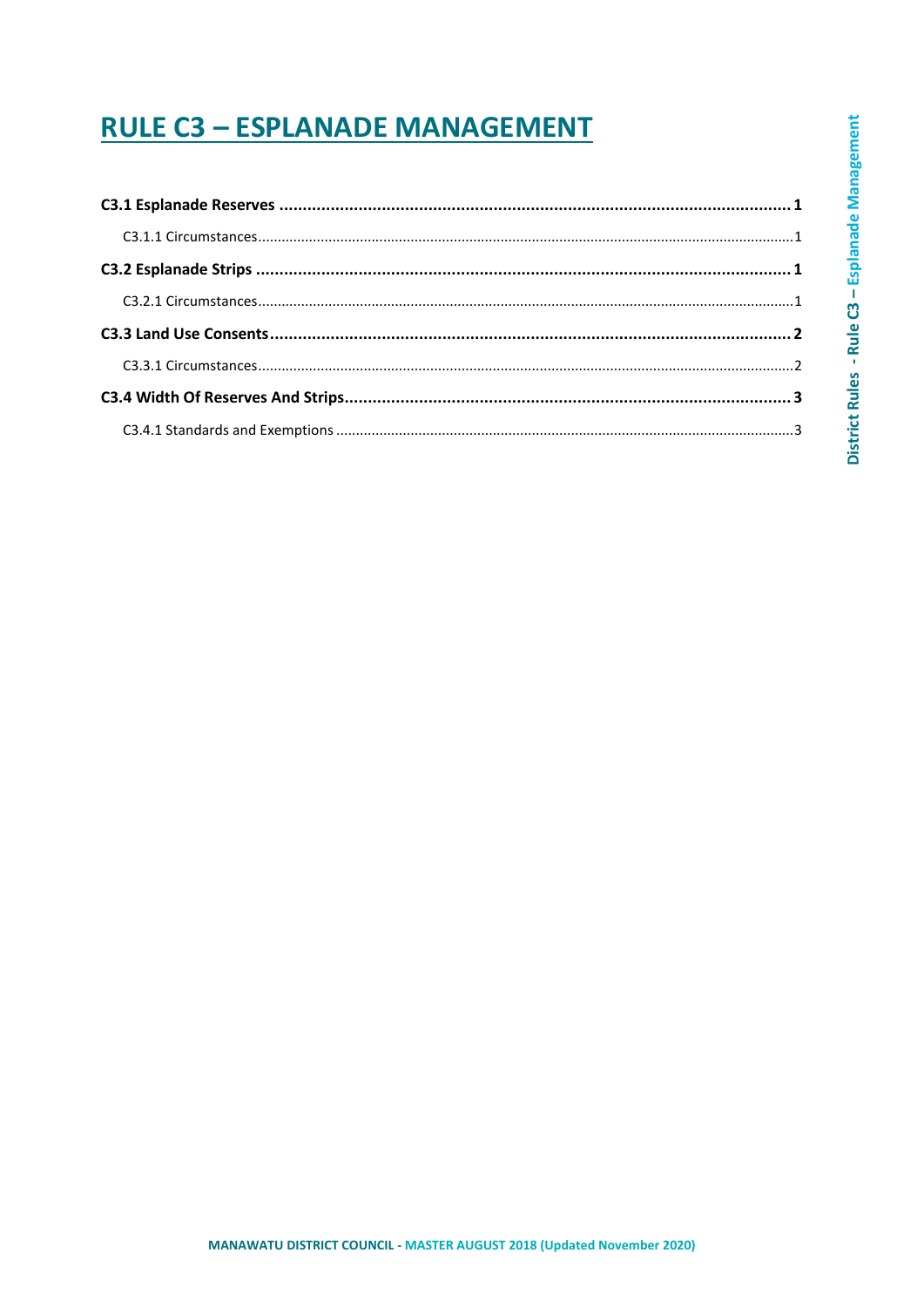# **RULE C3 - ESPLANADE MANAGEMENT**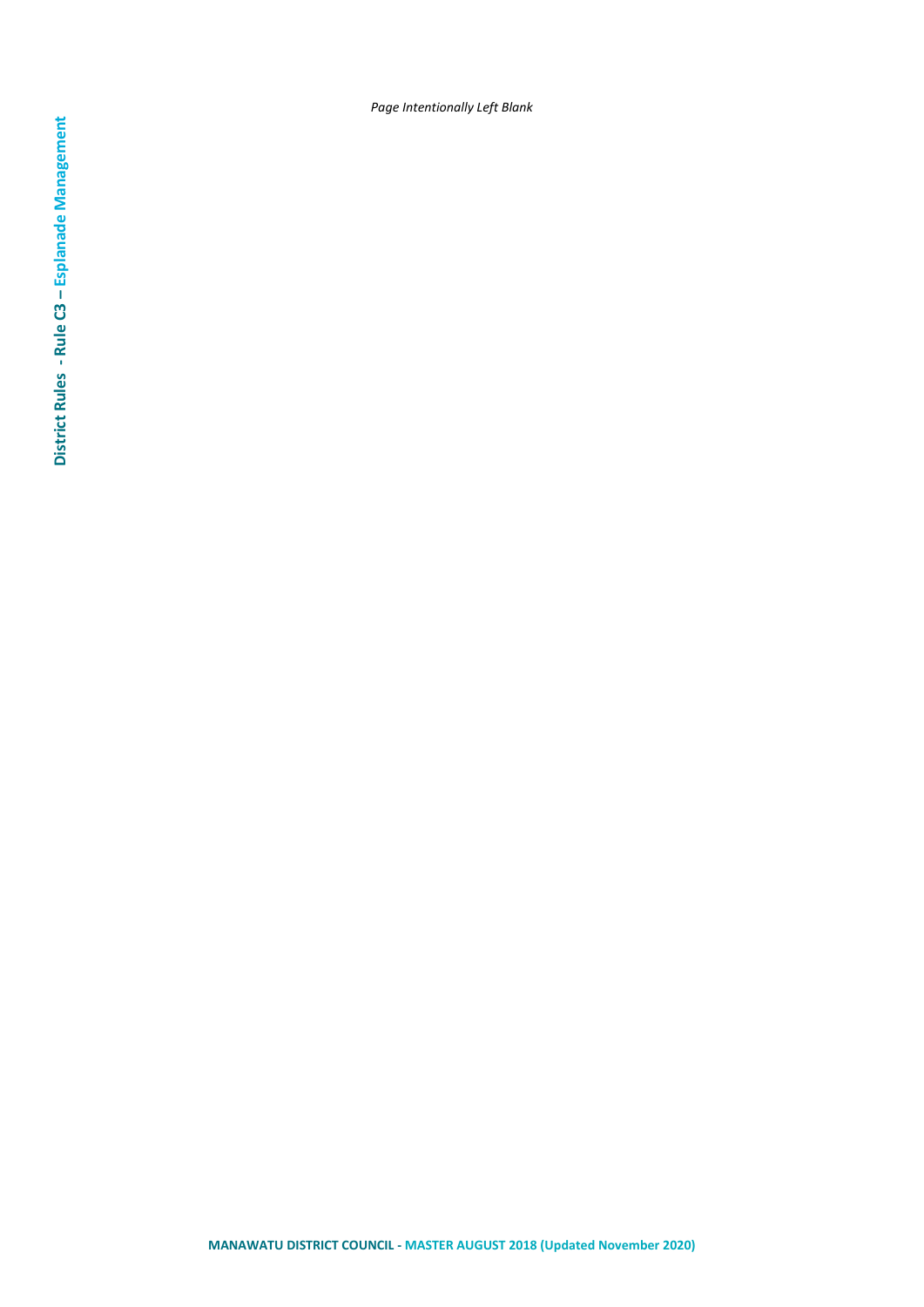*Page Intentionally Left Blank*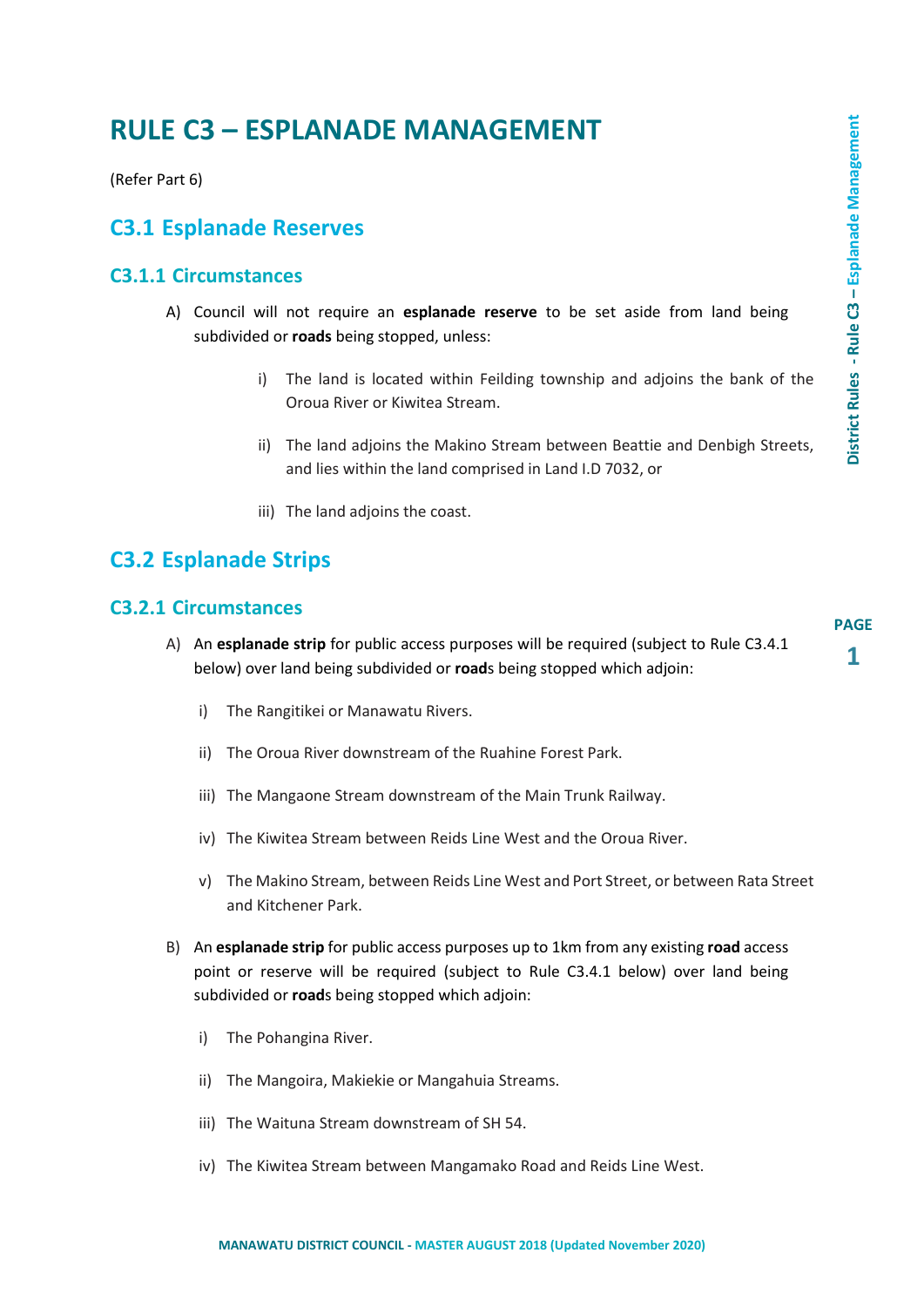## **RULE C3 – ESPLANADE MANAGEMENT**

(Refer Part 6)

## <span id="page-2-0"></span>**C3.1 Esplanade Reserves**

#### <span id="page-2-1"></span>**C3.1.1 Circumstances**

- A) Council will not require an **esplanade reserve** to be set aside from land being subdivided or **roads** being stopped, unless:
	- i) The land is located within Feilding township and adjoins the bank of the Oroua River or Kiwitea Stream.
	- ii) The land adjoins the Makino Stream between Beattie and Denbigh Streets, and lies within the land comprised in Land I.D 7032, or
	- iii) The land adjoins the coast.

## <span id="page-2-2"></span>**C3.2 Esplanade Strips**

#### <span id="page-2-3"></span>**C3.2.1 Circumstances**

- A) An **esplanade strip** for public access purposes will be required (subject to Rule C3.4.1 below) over land being subdivided or **road**s being stopped which adjoin:
	- i) The Rangitikei or Manawatu Rivers.
	- ii) The Oroua River downstream of the Ruahine Forest Park.
	- iii) The Mangaone Stream downstream of the Main Trunk Railway.
	- iv) The Kiwitea Stream between Reids Line West and the Oroua River.
	- v) The Makino Stream, between Reids Line West and Port Street, or between Rata Street and Kitchener Park.
- B) An **esplanade strip** for public access purposes up to 1km from any existing **road** access point or reserve will be required (subject to Rule C3.4.1 below) over land being subdivided or **road**s being stopped which adjoin:
	- i) The Pohangina River.
	- ii) The Mangoira, Makiekie or Mangahuia Streams.
	- iii) The Waituna Stream downstream of SH 54.
	- iv) The Kiwitea Stream between Mangamako Road and Reids Line West.

**PAGE 1**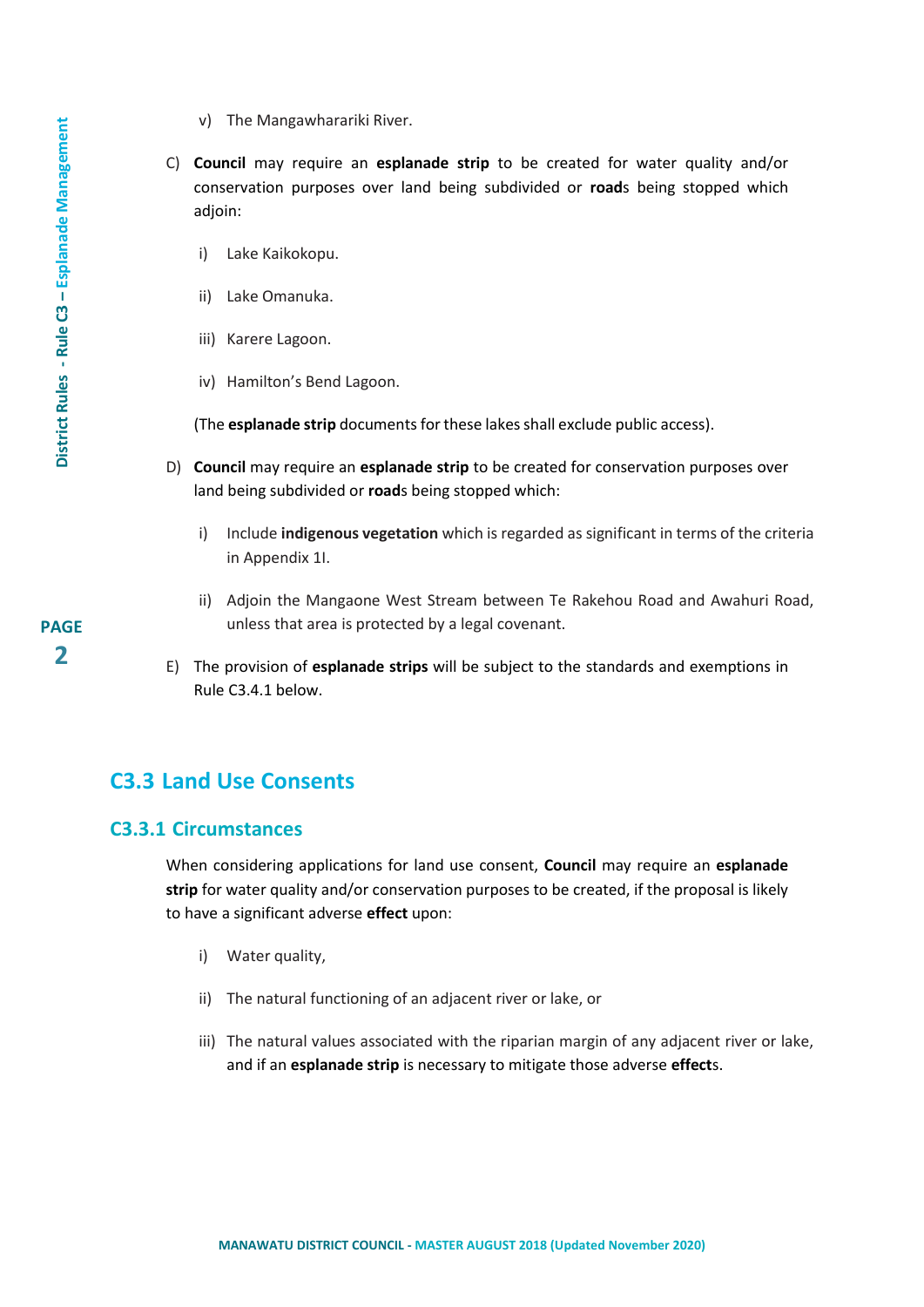- v) The Mangawharariki River.
- C) **Council** may require an **esplanade strip** to be created for water quality and/or conservation purposes over land being subdivided or **road**s being stopped which adjoin:
	- i) Lake Kaikokopu.
	- ii) Lake Omanuka.
	- iii) Karere Lagoon.
	- iv) Hamilton's Bend Lagoon.

(The **esplanade strip** documentsforthese lakesshall exclude public access).

- D) **Council** may require an **esplanade strip** to be created for conservation purposes over land being subdivided or **road**s being stopped which:
	- i) Include **indigenous vegetation** which is regarded as significant in terms of the criteria in Appendix 1I.
	- ii) Adjoin the Mangaone West Stream between Te Rakehou Road and Awahuri Road, unless that area is protected by a legal covenant.
- E) The provision of **esplanade strips** will be subject to the standards and exemptions in Rule C3.4.1 below.

### <span id="page-3-0"></span>**C3.3 Land Use Consents**

#### <span id="page-3-1"></span>**C3.3.1 Circumstances**

When considering applications for land use consent, **Council** may require an **esplanade strip** for water quality and/or conservation purposes to be created, if the proposal is likely to have a significant adverse **effect** upon:

- i) Water quality,
- ii) The natural functioning of an adjacent river or lake, or
- iii) The natural values associated with the riparian margin of any adjacent river or lake, and if an **esplanade strip** is necessary to mitigate those adverse **effect**s.

**PAGE**  $\overline{2}$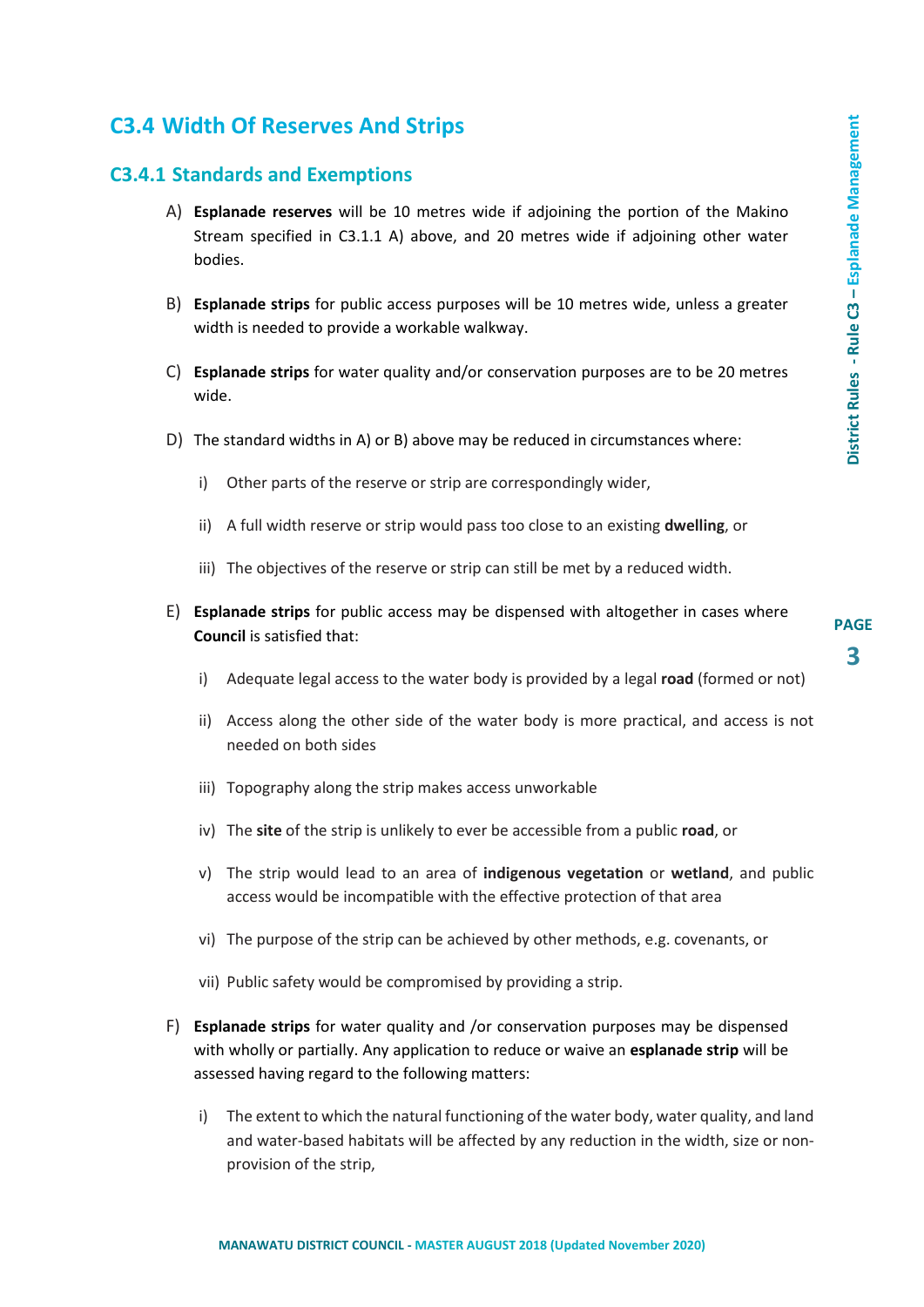## <span id="page-4-0"></span>**C3.4 Width Of Reserves And Strips**

#### <span id="page-4-1"></span>**C3.4.1 Standards and Exemptions**

- A) **Esplanade reserves** will be 10 metres wide if adjoining the portion of the Makino Stream specified in C3.1.1 A) above, and 20 metres wide if adjoining other water bodies.
- B) **Esplanade strips** for public access purposes will be 10 metres wide, unless a greater width is needed to provide a workable walkway.
- C) **Esplanade strips** for water quality and/or conservation purposes are to be 20 metres wide.
- D) The standard widths in A) or B) above may be reduced in circumstances where:
	- i) Other parts of the reserve or strip are correspondingly wider,
	- ii) A full width reserve or strip would pass too close to an existing **dwelling**, or
	- iii) The objectives of the reserve or strip can still be met by a reduced width.
- E) **Esplanade strips** for public access may be dispensed with altogether in cases where **Council** is satisfied that:
	- i) Adequate legal access to the water body is provided by a legal **road** (formed or not)
	- ii) Access along the other side of the water body is more practical, and access is not needed on both sides
	- iii) Topography along the strip makes access unworkable
	- iv) The **site** of the strip is unlikely to ever be accessible from a public **road**, or
	- v) The strip would lead to an area of **indigenous vegetation** or **wetland**, and public access would be incompatible with the effective protection of that area
	- vi) The purpose of the strip can be achieved by other methods, e.g. covenants, or
	- vii) Public safety would be compromised by providing a strip.
- F) **Esplanade strips** for water quality and /or conservation purposes may be dispensed with wholly or partially. Any application to reduce or waive an **esplanade strip** will be assessed having regard to the following matters:
	- i) The extent to which the natural functioning of the water body, water quality, and land and water-based habitats will be affected by any reduction in the width, size or nonprovision of the strip,

**PAGE 3**